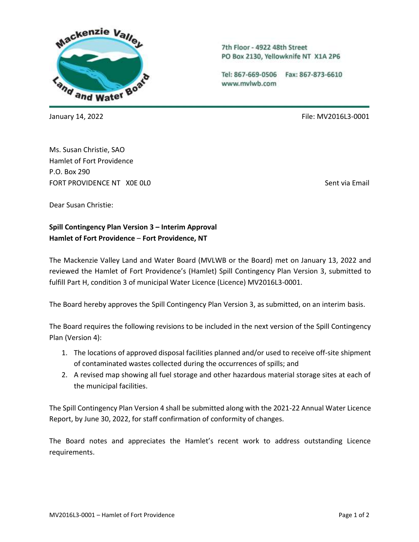

7th Floor - 4922 48th Street PO Box 2130, Yellowknife NT X1A 2P6

Tel: 867-669-0506 Fax: 867-873-6610 www.mvlwb.com

January 14, 2022 **File:** MV2016L3-0001

Ms. Susan Christie, SAO Hamlet of Fort Providence P.O. Box 290 FORT PROVIDENCE NT. XOF 0L0 Sent via Email and Sent via Email

Dear Susan Christie:

**Spill Contingency Plan Version 3 – Interim Approval Hamlet of Fort Providence** – **Fort Providence, NT**

The Mackenzie Valley Land and Water Board (MVLWB or the Board) met on January 13, 2022 and reviewed the Hamlet of Fort Providence's (Hamlet) Spill Contingency Plan Version 3, submitted to fulfill Part H, condition 3 of municipal Water Licence (Licence) MV2016L3-0001.

The Board hereby approves the Spill Contingency Plan Version 3, as submitted, on an interim basis.

The Board requires the following revisions to be included in the next version of the Spill Contingency Plan (Version 4):

- 1. The locations of approved disposal facilities planned and/or used to receive off-site shipment of contaminated wastes collected during the occurrences of spills; and
- 2. A revised map showing all fuel storage and other hazardous material storage sites at each of the municipal facilities.

The Spill Contingency Plan Version 4 shall be submitted along with the 2021-22 Annual Water Licence Report, by June 30, 2022, for staff confirmation of conformity of changes.

The Board notes and appreciates the Hamlet's recent work to address outstanding Licence requirements.